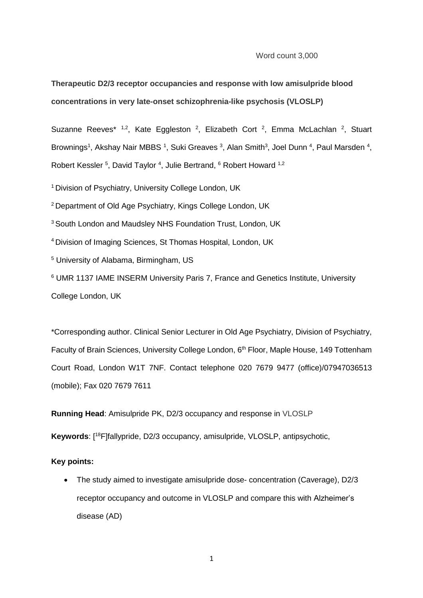Word count 3,000

**Therapeutic D2/3 receptor occupancies and response with low amisulpride blood concentrations in very late-onset schizophrenia-like psychosis (VLOSLP)**

Suzanne Reeves<sup>\* 1,2</sup>, Kate Eggleston <sup>2</sup>, Elizabeth Cort <sup>2</sup>, Emma McLachlan <sup>2</sup>, Stuart Brownings<sup>1</sup>, Akshay Nair MBBS <sup>1</sup>, Suki Greaves <sup>3</sup>, Alan Smith<sup>3</sup>, Joel Dunn <sup>4</sup>, Paul Marsden <sup>4</sup>, Robert Kessler <sup>5</sup>, David Taylor <sup>4</sup>, Julie Bertrand, <sup>6</sup> Robert Howard <sup>1,2</sup>

<sup>1</sup> Division of Psychiatry, University College London, UK

<sup>2</sup>Department of Old Age Psychiatry, Kings College London, UK

<sup>3</sup> South London and Maudsley NHS Foundation Trust, London, UK

<sup>4</sup>Division of Imaging Sciences, St Thomas Hospital, London, UK

<sup>5</sup> University of Alabama, Birmingham, US

<sup>6</sup> UMR 1137 IAME INSERM University Paris 7, France and Genetics Institute, University College London, UK

\*Corresponding author. Clinical Senior Lecturer in Old Age Psychiatry, Division of Psychiatry, Faculty of Brain Sciences, University College London, 6<sup>th</sup> Floor, Maple House, 149 Tottenham Court Road, London W1T 7NF. Contact telephone 020 7679 9477 (office)/07947036513 (mobile); Fax 020 7679 7611

**Running Head**: Amisulpride PK, D2/3 occupancy and response in VLOSLP

**Keywords**: [<sup>18</sup>F]fallypride, D2/3 occupancy, amisulpride, VLOSLP, antipsychotic,

**Key points:**

 The study aimed to investigate amisulpride dose- concentration (Caverage), D2/3 receptor occupancy and outcome in VLOSLP and compare this with Alzheimer's disease (AD)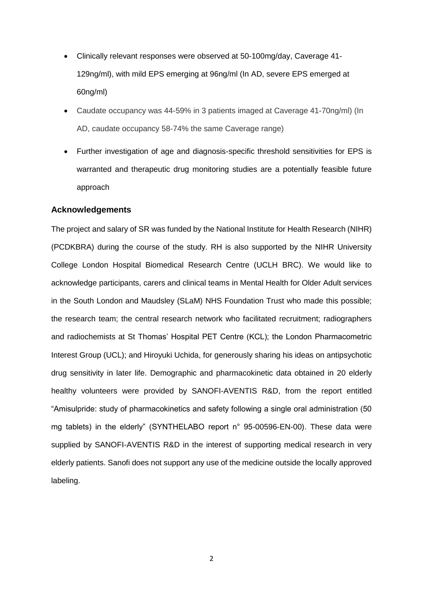- Clinically relevant responses were observed at 50-100mg/day, Caverage 41- 129ng/ml), with mild EPS emerging at 96ng/ml (In AD, severe EPS emerged at 60ng/ml)
- Caudate occupancy was 44-59% in 3 patients imaged at Caverage 41-70ng/ml) (In AD, caudate occupancy 58-74% the same Caverage range)
- Further investigation of age and diagnosis-specific threshold sensitivities for EPS is warranted and therapeutic drug monitoring studies are a potentially feasible future approach

## **Acknowledgements**

The project and salary of SR was funded by the National Institute for Health Research (NIHR) (PCDKBRA) during the course of the study. RH is also supported by the NIHR University College London Hospital Biomedical Research Centre (UCLH BRC). We would like to acknowledge participants, carers and clinical teams in Mental Health for Older Adult services in the South London and Maudsley (SLaM) NHS Foundation Trust who made this possible; the research team; the central research network who facilitated recruitment; radiographers and radiochemists at St Thomas' Hospital PET Centre (KCL); the London Pharmacometric Interest Group (UCL); and Hiroyuki Uchida, for generously sharing his ideas on antipsychotic drug sensitivity in later life. Demographic and pharmacokinetic data obtained in 20 elderly healthy volunteers were provided by SANOFI-AVENTIS R&D, from the report entitled "Amisulpride: study of pharmacokinetics and safety following a single oral administration (50 mg tablets) in the elderly" (SYNTHELABO report n° 95-00596-EN-00). These data were supplied by SANOFI-AVENTIS R&D in the interest of supporting medical research in very elderly patients. Sanofi does not support any use of the medicine outside the locally approved labeling.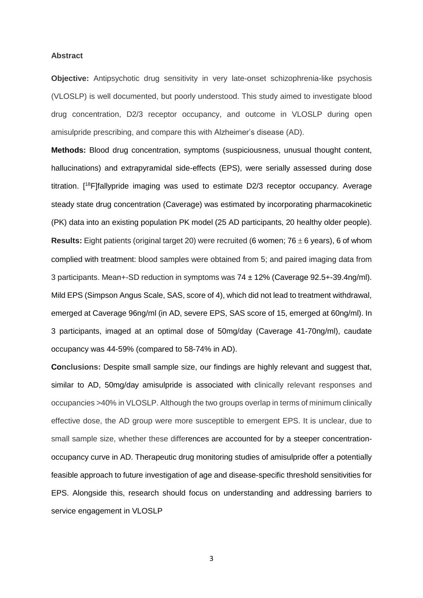#### **Abstract**

**Objective:** Antipsychotic drug sensitivity in very late-onset schizophrenia-like psychosis (VLOSLP) is well documented, but poorly understood. This study aimed to investigate blood drug concentration, D2/3 receptor occupancy, and outcome in VLOSLP during open amisulpride prescribing, and compare this with Alzheimer's disease (AD).

**Methods:** Blood drug concentration, symptoms (suspiciousness, unusual thought content, hallucinations) and extrapyramidal side-effects (EPS), were serially assessed during dose titration. [ <sup>18</sup>F]fallypride imaging was used to estimate D2/3 receptor occupancy. Average steady state drug concentration (Caverage) was estimated by incorporating pharmacokinetic (PK) data into an existing population PK model (25 AD participants, 20 healthy older people). **Results:** Eight patients (original target 20) were recruited (6 women;  $76 \pm 6$  years), 6 of whom complied with treatment: blood samples were obtained from 5; and paired imaging data from 3 participants. Mean+-SD reduction in symptoms was 74 ± 12% (Caverage 92.5+-39.4ng/ml). Mild EPS (Simpson Angus Scale, SAS, score of 4), which did not lead to treatment withdrawal, emerged at Caverage 96ng/ml (in AD, severe EPS, SAS score of 15, emerged at 60ng/ml). In 3 participants, imaged at an optimal dose of 50mg/day (Caverage 41-70ng/ml), caudate occupancy was 44-59% (compared to 58-74% in AD).

**Conclusions:** Despite small sample size, our findings are highly relevant and suggest that, similar to AD, 50mg/day amisulpride is associated with clinically relevant responses and occupancies >40% in VLOSLP. Although the two groups overlap in terms of minimum clinically effective dose, the AD group were more susceptible to emergent EPS. It is unclear, due to small sample size, whether these differences are accounted for by a steeper concentrationoccupancy curve in AD. Therapeutic drug monitoring studies of amisulpride offer a potentially feasible approach to future investigation of age and disease-specific threshold sensitivities for EPS. Alongside this, research should focus on understanding and addressing barriers to service engagement in VLOSLP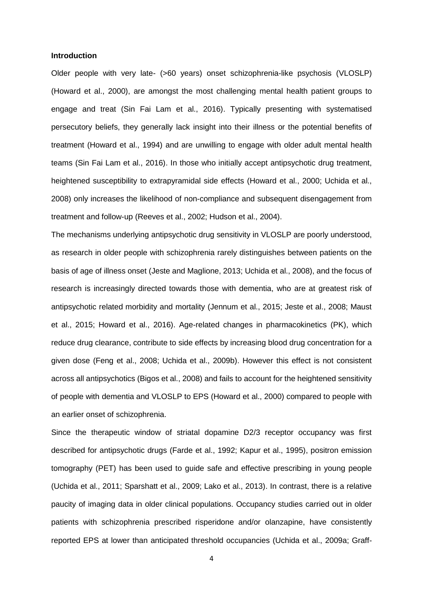### **Introduction**

Older people with very late- (>60 years) onset schizophrenia-like psychosis (VLOSLP) (Howard et al., 2000), are amongst the most challenging mental health patient groups to engage and treat (Sin Fai Lam et al., 2016). Typically presenting with systematised persecutory beliefs, they generally lack insight into their illness or the potential benefits of treatment (Howard et al., 1994) and are unwilling to engage with older adult mental health teams (Sin Fai Lam et al., 2016). In those who initially accept antipsychotic drug treatment, heightened susceptibility to extrapyramidal side effects (Howard et al., 2000; Uchida et al., 2008) only increases the likelihood of non-compliance and subsequent disengagement from treatment and follow-up (Reeves et al., 2002; Hudson et al., 2004).

The mechanisms underlying antipsychotic drug sensitivity in VLOSLP are poorly understood, as research in older people with schizophrenia rarely distinguishes between patients on the basis of age of illness onset (Jeste and Maglione, 2013; Uchida et al., 2008), and the focus of research is increasingly directed towards those with dementia, who are at greatest risk of antipsychotic related morbidity and mortality (Jennum et al., 2015; Jeste et al., 2008; Maust et al., 2015; Howard et al., 2016). Age-related changes in pharmacokinetics (PK), which reduce drug clearance, contribute to side effects by increasing blood drug concentration for a given dose (Feng et al., 2008; Uchida et al., 2009b). However this effect is not consistent across all antipsychotics (Bigos et al., 2008) and fails to account for the heightened sensitivity of people with dementia and VLOSLP to EPS (Howard et al., 2000) compared to people with an earlier onset of schizophrenia.

Since the therapeutic window of striatal dopamine D2/3 receptor occupancy was first described for antipsychotic drugs (Farde et al., 1992; Kapur et al., 1995), positron emission tomography (PET) has been used to guide safe and effective prescribing in young people (Uchida et al., 2011; Sparshatt et al., 2009; Lako et al., 2013). In contrast, there is a relative paucity of imaging data in older clinical populations. Occupancy studies carried out in older patients with schizophrenia prescribed risperidone and/or olanzapine, have consistently reported EPS at lower than anticipated threshold occupancies (Uchida et al., 2009a; Graff-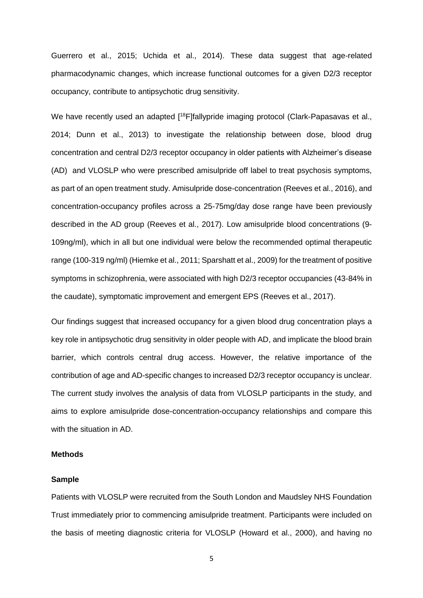Guerrero et al., 2015; Uchida et al., 2014). These data suggest that age-related pharmacodynamic changes, which increase functional outcomes for a given D2/3 receptor occupancy, contribute to antipsychotic drug sensitivity.

We have recently used an adapted [<sup>18</sup>F]fallypride imaging protocol (Clark-Papasavas et al., 2014; Dunn et al., 2013) to investigate the relationship between dose, blood drug concentration and central D2/3 receptor occupancy in older patients with Alzheimer's disease (AD) and VLOSLP who were prescribed amisulpride off label to treat psychosis symptoms, as part of an open treatment study. Amisulpride dose-concentration (Reeves et al., 2016), and concentration-occupancy profiles across a 25-75mg/day dose range have been previously described in the AD group (Reeves et al., 2017). Low amisulpride blood concentrations (9- 109ng/ml), which in all but one individual were below the recommended optimal therapeutic range (100-319 ng/ml) (Hiemke et al., 2011; Sparshatt et al., 2009) for the treatment of positive symptoms in schizophrenia, were associated with high D2/3 receptor occupancies (43-84% in the caudate), symptomatic improvement and emergent EPS (Reeves et al., 2017).

Our findings suggest that increased occupancy for a given blood drug concentration plays a key role in antipsychotic drug sensitivity in older people with AD, and implicate the blood brain barrier, which controls central drug access. However, the relative importance of the contribution of age and AD-specific changes to increased D2/3 receptor occupancy is unclear. The current study involves the analysis of data from VLOSLP participants in the study, and aims to explore amisulpride dose-concentration-occupancy relationships and compare this with the situation in AD.

### **Methods**

### **Sample**

Patients with VLOSLP were recruited from the South London and Maudsley NHS Foundation Trust immediately prior to commencing amisulpride treatment. Participants were included on the basis of meeting diagnostic criteria for VLOSLP (Howard et al., 2000), and having no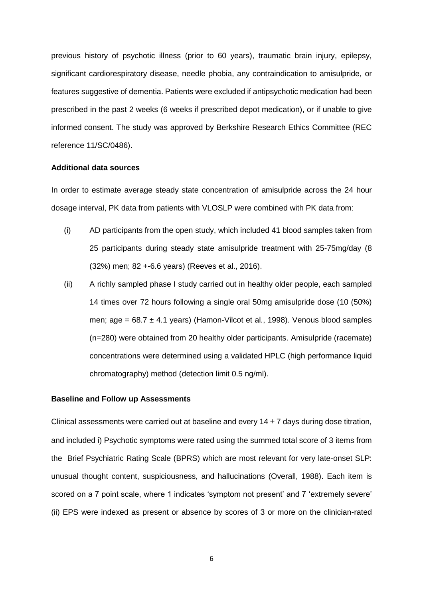previous history of psychotic illness (prior to 60 years), traumatic brain injury, epilepsy, significant cardiorespiratory disease, needle phobia, any contraindication to amisulpride, or features suggestive of dementia. Patients were excluded if antipsychotic medication had been prescribed in the past 2 weeks (6 weeks if prescribed depot medication), or if unable to give informed consent. The study was approved by Berkshire Research Ethics Committee (REC reference 11/SC/0486).

### **Additional data sources**

In order to estimate average steady state concentration of amisulpride across the 24 hour dosage interval, PK data from patients with VLOSLP were combined with PK data from:

- (i) AD participants from the open study, which included 41 blood samples taken from 25 participants during steady state amisulpride treatment with 25-75mg/day (8 (32%) men; 82 +-6.6 years) (Reeves et al., 2016).
- (ii) A richly sampled phase I study carried out in healthy older people, each sampled 14 times over 72 hours following a single oral 50mg amisulpride dose (10 (50%) men; age =  $68.7 \pm 4.1$  years) (Hamon-Vilcot et al., 1998). Venous blood samples (n=280) were obtained from 20 healthy older participants. Amisulpride (racemate) concentrations were determined using a validated HPLC (high performance liquid chromatography) method (detection limit 0.5 ng/ml).

#### **Baseline and Follow up Assessments**

Clinical assessments were carried out at baseline and every  $14 \pm 7$  days during dose titration, and included i) Psychotic symptoms were rated using the summed total score of 3 items from the Brief Psychiatric Rating Scale (BPRS) which are most relevant for very late-onset SLP: unusual thought content, suspiciousness, and hallucinations (Overall, 1988). Each item is scored on a 7 point scale, where 1 indicates 'symptom not present' and 7 'extremely severe' (ii) EPS were indexed as present or absence by scores of 3 or more on the clinician-rated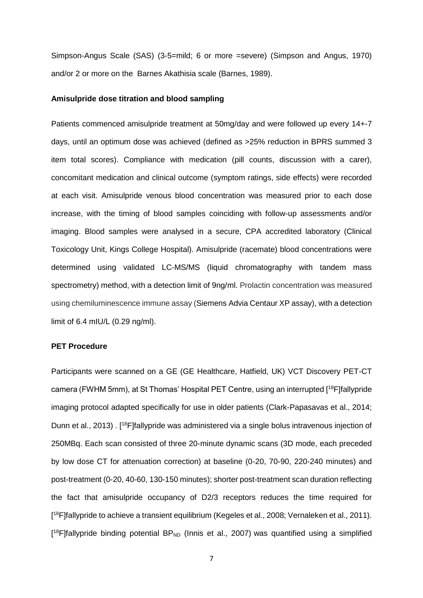Simpson-Angus Scale (SAS) (3-5=mild; 6 or more =severe) (Simpson and Angus, 1970) and/or 2 or more on the Barnes Akathisia scale (Barnes, 1989).

## **Amisulpride dose titration and blood sampling**

Patients commenced amisulpride treatment at 50mg/day and were followed up every 14+-7 days, until an optimum dose was achieved (defined as >25% reduction in BPRS summed 3 item total scores). Compliance with medication (pill counts, discussion with a carer), concomitant medication and clinical outcome (symptom ratings, side effects) were recorded at each visit. Amisulpride venous blood concentration was measured prior to each dose increase, with the timing of blood samples coinciding with follow-up assessments and/or imaging. Blood samples were analysed in a secure, CPA accredited laboratory (Clinical Toxicology Unit, Kings College Hospital). Amisulpride (racemate) blood concentrations were determined using validated LC-MS/MS (liquid chromatography with tandem mass spectrometry) method, with a detection limit of 9ng/ml. Prolactin concentration was measured using chemiluminescence immune assay (Siemens Advia Centaur XP assay), with a detection limit of 6.4 mIU/L (0.29 ng/ml).

### **PET Procedure**

Participants were scanned on a GE (GE Healthcare, Hatfield, UK) VCT Discovery PET-CT camera (FWHM 5mm), at St Thomas' Hospital PET Centre, using an interrupted [ <sup>18</sup>F]fallypride imaging protocol adapted specifically for use in older patients (Clark-Papasavas et al., 2014; Dunn et al., 2013). [<sup>18</sup>F]fallypride was administered via a single bolus intravenous injection of 250MBq. Each scan consisted of three 20-minute dynamic scans (3D mode, each preceded by low dose CT for attenuation correction) at baseline (0-20, 70-90, 220-240 minutes) and post-treatment (0-20, 40-60, 130-150 minutes); shorter post-treatment scan duration reflecting the fact that amisulpride occupancy of D2/3 receptors reduces the time required for [<sup>18</sup>F]fallypride to achieve a transient equilibrium (Kegeles et al., 2008; Vernaleken et al., 2011).  $[$ <sup>18</sup>F]fallypride binding potential BP<sub>ND</sub> (Innis et al., 2007) was quantified using a simplified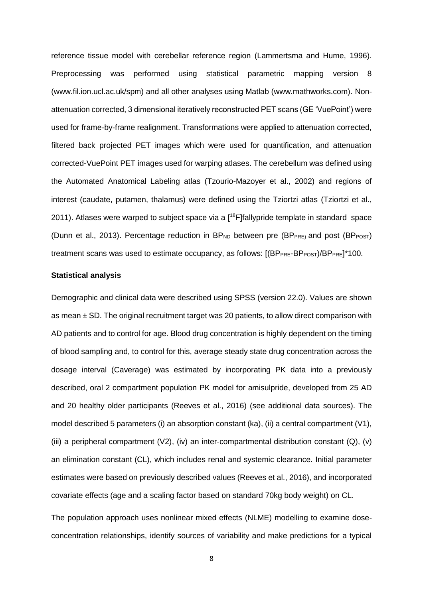reference tissue model with cerebellar reference region (Lammertsma and Hume, 1996). Preprocessing was performed using statistical parametric mapping version 8 (www.fil.ion.ucl.ac.uk/spm) and all other analyses using Matlab (www.mathworks.com). Nonattenuation corrected, 3 dimensional iteratively reconstructed PET scans (GE 'VuePoint') were used for frame-by-frame realignment. Transformations were applied to attenuation corrected, filtered back projected PET images which were used for quantification, and attenuation corrected-VuePoint PET images used for warping atlases. The cerebellum was defined using the Automated Anatomical Labeling atlas (Tzourio-Mazoyer et al., 2002) and regions of interest (caudate, putamen, thalamus) were defined using the Tziortzi atlas (Tziortzi et al., 2011). Atlases were warped to subject space via a [<sup>18</sup>F]fallypride template in standard space (Dunn et al., 2013). Percentage reduction in  $BP_{ND}$  between pre ( $BP_{PRE}$ ) and post ( $BP_{POST}$ ) treatment scans was used to estimate occupancy, as follows:  $[(BP_{PRE}-BP_{POST})/BP_{PRE}]$ <sup>\*</sup>100.

## **Statistical analysis**

Demographic and clinical data were described using SPSS (version 22.0). Values are shown as mean  $\pm$  SD. The original recruitment target was 20 patients, to allow direct comparison with AD patients and to control for age. Blood drug concentration is highly dependent on the timing of blood sampling and, to control for this, average steady state drug concentration across the dosage interval (Caverage) was estimated by incorporating PK data into a previously described, oral 2 compartment population PK model for amisulpride, developed from 25 AD and 20 healthy older participants (Reeves et al., 2016) (see additional data sources). The model described 5 parameters (i) an absorption constant (ka), (ii) a central compartment (V1), (iii) a peripheral compartment (V2), (iv) an inter-compartmental distribution constant (Q), (v) an elimination constant (CL), which includes renal and systemic clearance. Initial parameter estimates were based on previously described values (Reeves et al., 2016), and incorporated covariate effects (age and a scaling factor based on standard 70kg body weight) on CL.

The population approach uses nonlinear mixed effects (NLME) modelling to examine doseconcentration relationships, identify sources of variability and make predictions for a typical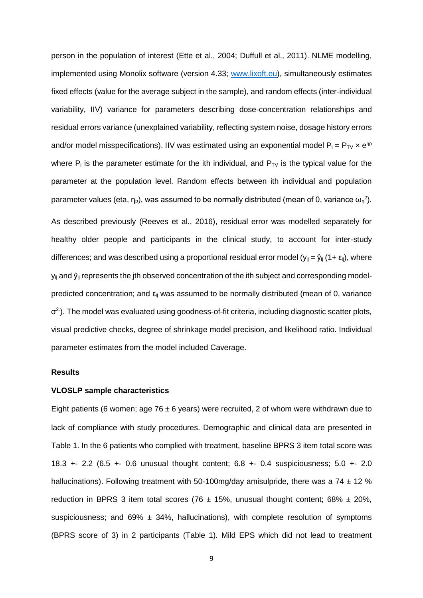person in the population of interest (Ette et al., 2004; Duffull et al., 2011). NLME modelling, implemented using Monolix software (version 4.33; [www.lixoft.eu\)](http://www.lixoft.eu/), simultaneously estimates fixed effects (value for the average subject in the sample), and random effects (inter-individual variability, IIV) variance for parameters describing dose-concentration relationships and residual errors variance (unexplained variability, reflecting system noise, dosage history errors and/or model misspecifications). IIV was estimated using an exponential model  $P_i = P_{TV} \times e^{np}$ where  $P_i$  is the parameter estimate for the ith individual, and  $P_{TV}$  is the typical value for the parameter at the population level. Random effects between ith individual and population parameter values (eta,  $\eta_{\text{\tiny P}}$ ), was assumed to be normally distributed (mean of 0, variance  $\omega_{\text{\tiny n}}^2$ ). As described previously (Reeves et al., 2016), residual error was modelled separately for healthy older people and participants in the clinical study, to account for inter-study differences; and was described using a proportional residual error model ( $y_{ij} = \hat{y}_{ij}$  (1+  $\epsilon_{ij}$ ), where  $y_{ij}$  and  $\hat{y}_{ij}$  represents the jth observed concentration of the ith subject and corresponding modelpredicted concentration; and  $\varepsilon_{ij}$  was assumed to be normally distributed (mean of 0, variance  $\sigma^2$ ). The model was evaluated using goodness-of-fit criteria, including diagnostic scatter plots, visual predictive checks, degree of shrinkage model precision, and likelihood ratio. Individual parameter estimates from the model included Caverage.

# **Results**

### **VLOSLP sample characteristics**

Eight patients (6 women; age 76  $\pm$  6 years) were recruited, 2 of whom were withdrawn due to lack of compliance with study procedures. Demographic and clinical data are presented in Table 1. In the 6 patients who complied with treatment, baseline BPRS 3 item total score was 18.3 +- 2.2 (6.5 +- 0.6 unusual thought content; 6.8 +- 0.4 suspiciousness; 5.0 +- 2.0 hallucinations). Following treatment with 50-100mg/day amisulpride, there was a 74  $\pm$  12 % reduction in BPRS 3 item total scores (76  $\pm$  15%, unusual thought content; 68%  $\pm$  20%, suspiciousness; and  $69\% \pm 34\%$ , hallucinations), with complete resolution of symptoms (BPRS score of 3) in 2 participants (Table 1). Mild EPS which did not lead to treatment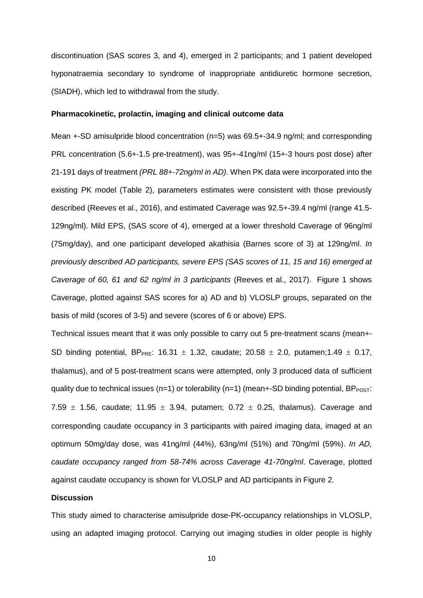discontinuation (SAS scores 3, and 4), emerged in 2 participants; and 1 patient developed hyponatraemia secondary to syndrome of inappropriate antidiuretic hormone secretion, (SIADH), which led to withdrawal from the study.

### **Pharmacokinetic, prolactin, imaging and clinical outcome data**

Mean +-SD amisulpride blood concentration (n=5) was 69.5+-34.9 ng/ml; and corresponding PRL concentration (5.6+-1.5 pre-treatment), was 95+-41ng/ml (15+-3 hours post dose) after 21-191 days of treatment *(PRL 88+-72ng/ml in AD)*. When PK data were incorporated into the existing PK model (Table 2), parameters estimates were consistent with those previously described (Reeves et al., 2016), and estimated Caverage was 92.5+-39.4 ng/ml (range 41.5- 129ng/ml). Mild EPS, (SAS score of 4), emerged at a lower threshold Caverage of 96ng/ml (75mg/day), and one participant developed akathisia (Barnes score of 3) at 129ng/ml. *In previously described AD participants, severe EPS (SAS scores of 11, 15 and 16) emerged at Caverage of 60, 61 and 62 ng/ml in 3 participants* (Reeves et al., 2017). Figure 1 shows Caverage, plotted against SAS scores for a) AD and b) VLOSLP groups, separated on the basis of mild (scores of 3-5) and severe (scores of 6 or above) EPS.

Technical issues meant that it was only possible to carry out 5 pre-treatment scans (mean+- SD binding potential, BP<sub>PRE</sub>: 16.31  $\pm$  1.32, caudate; 20.58  $\pm$  2.0, putamen;1.49  $\pm$  0.17, thalamus), and of 5 post-treatment scans were attempted, only 3 produced data of sufficient quality due to technical issues ( $n=1$ ) or tolerability ( $n=1$ ) (mean+-SD binding potential, BP $_{POST}$ : 7.59  $\pm$  1.56, caudate; 11.95  $\pm$  3.94, putamen; 0.72  $\pm$  0.25, thalamus). Caverage and corresponding caudate occupancy in 3 participants with paired imaging data, imaged at an optimum 50mg/day dose, was 41ng/ml (44%), 63ng/ml (51%) and 70ng/ml (59%). *In AD, caudate occupancy ranged from 58-74% across Caverage 41-70ng/ml*. Caverage, plotted against caudate occupancy is shown for VLOSLP and AD participants in Figure 2.

### **Discussion**

This study aimed to characterise amisulpride dose-PK-occupancy relationships in VLOSLP, using an adapted imaging protocol. Carrying out imaging studies in older people is highly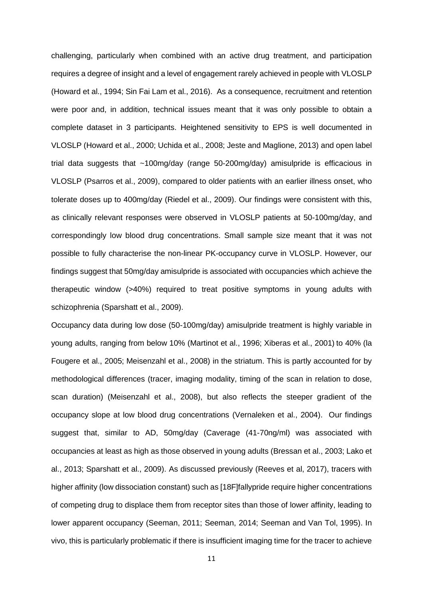challenging, particularly when combined with an active drug treatment, and participation requires a degree of insight and a level of engagement rarely achieved in people with VLOSLP (Howard et al., 1994; Sin Fai Lam et al., 2016). As a consequence, recruitment and retention were poor and, in addition, technical issues meant that it was only possible to obtain a complete dataset in 3 participants. Heightened sensitivity to EPS is well documented in VLOSLP (Howard et al., 2000; Uchida et al., 2008; Jeste and Maglione, 2013) and open label trial data suggests that ~100mg/day (range 50-200mg/day) amisulpride is efficacious in VLOSLP (Psarros et al., 2009), compared to older patients with an earlier illness onset, who tolerate doses up to 400mg/day (Riedel et al., 2009). Our findings were consistent with this, as clinically relevant responses were observed in VLOSLP patients at 50-100mg/day, and correspondingly low blood drug concentrations. Small sample size meant that it was not possible to fully characterise the non-linear PK-occupancy curve in VLOSLP. However, our findings suggest that 50mg/day amisulpride is associated with occupancies which achieve the therapeutic window (>40%) required to treat positive symptoms in young adults with schizophrenia (Sparshatt et al., 2009).

Occupancy data during low dose (50-100mg/day) amisulpride treatment is highly variable in young adults, ranging from below 10% (Martinot et al., 1996; Xiberas et al., 2001) to 40% (la Fougere et al., 2005; Meisenzahl et al., 2008) in the striatum. This is partly accounted for by methodological differences (tracer, imaging modality, timing of the scan in relation to dose, scan duration) (Meisenzahl et al., 2008), but also reflects the steeper gradient of the occupancy slope at low blood drug concentrations (Vernaleken et al., 2004). Our findings suggest that, similar to AD, 50mg/day (Caverage (41-70ng/ml) was associated with occupancies at least as high as those observed in young adults (Bressan et al., 2003; Lako et al., 2013; Sparshatt et al., 2009). As discussed previously (Reeves et al, 2017), tracers with higher affinity (low dissociation constant) such as [18F]fallypride require higher concentrations of competing drug to displace them from receptor sites than those of lower affinity, leading to lower apparent occupancy (Seeman, 2011; Seeman, 2014; Seeman and Van Tol, 1995). In vivo, this is particularly problematic if there is insufficient imaging time for the tracer to achieve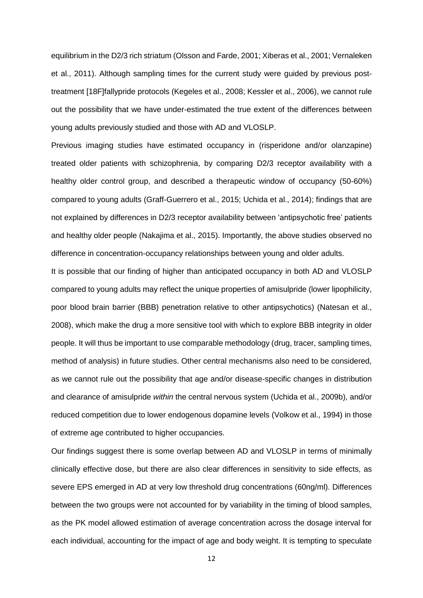equilibrium in the D2/3 rich striatum (Olsson and Farde, 2001; Xiberas et al., 2001; Vernaleken et al., 2011). Although sampling times for the current study were guided by previous posttreatment [18F]fallypride protocols (Kegeles et al., 2008; Kessler et al., 2006), we cannot rule out the possibility that we have under-estimated the true extent of the differences between young adults previously studied and those with AD and VLOSLP.

Previous imaging studies have estimated occupancy in (risperidone and/or olanzapine) treated older patients with schizophrenia, by comparing D2/3 receptor availability with a healthy older control group, and described a therapeutic window of occupancy (50-60%) compared to young adults (Graff-Guerrero et al., 2015; Uchida et al., 2014); findings that are not explained by differences in D2/3 receptor availability between 'antipsychotic free' patients and healthy older people (Nakajima et al., 2015). Importantly, the above studies observed no difference in concentration-occupancy relationships between young and older adults.

It is possible that our finding of higher than anticipated occupancy in both AD and VLOSLP compared to young adults may reflect the unique properties of amisulpride (lower lipophilicity, poor blood brain barrier (BBB) penetration relative to other antipsychotics) (Natesan et al., 2008), which make the drug a more sensitive tool with which to explore BBB integrity in older people. It will thus be important to use comparable methodology (drug, tracer, sampling times, method of analysis) in future studies. Other central mechanisms also need to be considered, as we cannot rule out the possibility that age and/or disease-specific changes in distribution and clearance of amisulpride *within* the central nervous system (Uchida et al., 2009b), and/or reduced competition due to lower endogenous dopamine levels (Volkow et al., 1994) in those of extreme age contributed to higher occupancies.

Our findings suggest there is some overlap between AD and VLOSLP in terms of minimally clinically effective dose, but there are also clear differences in sensitivity to side effects, as severe EPS emerged in AD at very low threshold drug concentrations (60ng/ml). Differences between the two groups were not accounted for by variability in the timing of blood samples, as the PK model allowed estimation of average concentration across the dosage interval for each individual, accounting for the impact of age and body weight. It is tempting to speculate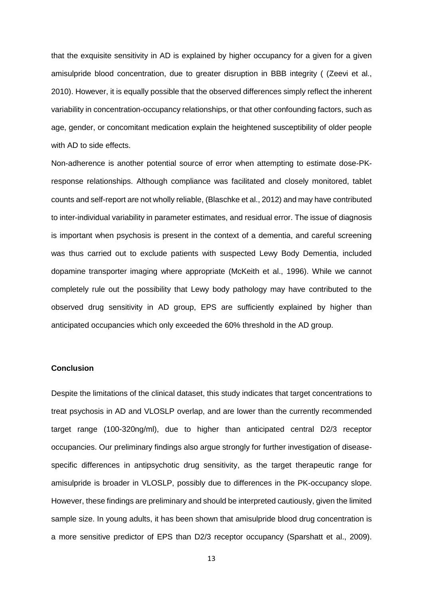that the exquisite sensitivity in AD is explained by higher occupancy for a given for a given amisulpride blood concentration, due to greater disruption in BBB integrity ( (Zeevi et al., 2010). However, it is equally possible that the observed differences simply reflect the inherent variability in concentration-occupancy relationships, or that other confounding factors, such as age, gender, or concomitant medication explain the heightened susceptibility of older people with AD to side effects.

Non-adherence is another potential source of error when attempting to estimate dose-PKresponse relationships. Although compliance was facilitated and closely monitored, tablet counts and self-report are not wholly reliable, (Blaschke et al., 2012) and may have contributed to inter-individual variability in parameter estimates, and residual error. The issue of diagnosis is important when psychosis is present in the context of a dementia, and careful screening was thus carried out to exclude patients with suspected Lewy Body Dementia, included dopamine transporter imaging where appropriate (McKeith et al., 1996). While we cannot completely rule out the possibility that Lewy body pathology may have contributed to the observed drug sensitivity in AD group, EPS are sufficiently explained by higher than anticipated occupancies which only exceeded the 60% threshold in the AD group.

## **Conclusion**

Despite the limitations of the clinical dataset, this study indicates that target concentrations to treat psychosis in AD and VLOSLP overlap, and are lower than the currently recommended target range (100-320ng/ml), due to higher than anticipated central D2/3 receptor occupancies. Our preliminary findings also argue strongly for further investigation of diseasespecific differences in antipsychotic drug sensitivity, as the target therapeutic range for amisulpride is broader in VLOSLP, possibly due to differences in the PK-occupancy slope. However, these findings are preliminary and should be interpreted cautiously, given the limited sample size. In young adults, it has been shown that amisulpride blood drug concentration is a more sensitive predictor of EPS than D2/3 receptor occupancy (Sparshatt et al., 2009).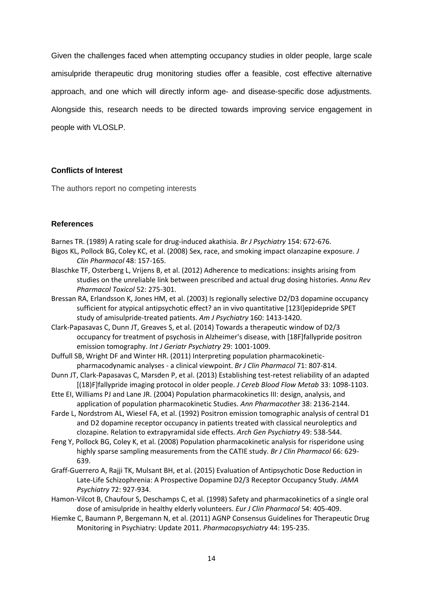Given the challenges faced when attempting occupancy studies in older people, large scale amisulpride therapeutic drug monitoring studies offer a feasible, cost effective alternative approach, and one which will directly inform age- and disease-specific dose adjustments. Alongside this, research needs to be directed towards improving service engagement in people with VLOSLP.

# **Conflicts of Interest**

The authors report no competing interests

# **References**

Barnes TR. (1989) A rating scale for drug-induced akathisia. *Br J Psychiatry* 154: 672-676. Bigos KL, Pollock BG, Coley KC, et al. (2008) Sex, race, and smoking impact olanzapine exposure. *J Clin Pharmacol* 48: 157-165.

- Blaschke TF, Osterberg L, Vrijens B, et al. (2012) Adherence to medications: insights arising from studies on the unreliable link between prescribed and actual drug dosing histories. *Annu Rev Pharmacol Toxicol* 52: 275-301.
- Bressan RA, Erlandsson K, Jones HM, et al. (2003) Is regionally selective D2/D3 dopamine occupancy sufficient for atypical antipsychotic effect? an in vivo quantitative [123I]epidepride SPET study of amisulpride-treated patients. *Am J Psychiatry* 160: 1413-1420.
- Clark-Papasavas C, Dunn JT, Greaves S, et al. (2014) Towards a therapeutic window of D2/3 occupancy for treatment of psychosis in Alzheimer's disease, with [18F]fallypride positron emission tomography. *Int J Geriatr Psychiatry* 29: 1001-1009.
- Duffull SB, Wright DF and Winter HR. (2011) Interpreting population pharmacokineticpharmacodynamic analyses - a clinical viewpoint. *Br J Clin Pharmacol* 71: 807-814.
- Dunn JT, Clark-Papasavas C, Marsden P, et al. (2013) Establishing test-retest reliability of an adapted [(18)F]fallypride imaging protocol in older people. *J Cereb Blood Flow Metab* 33: 1098-1103.
- Ette EI, Williams PJ and Lane JR. (2004) Population pharmacokinetics III: design, analysis, and application of population pharmacokinetic Studies. *Ann Pharmacother* 38: 2136-2144.
- Farde L, Nordstrom AL, Wiesel FA, et al. (1992) Positron emission tomographic analysis of central D1 and D2 dopamine receptor occupancy in patients treated with classical neuroleptics and clozapine. Relation to extrapyramidal side effects. *Arch Gen Psychiatry* 49: 538-544.
- Feng Y, Pollock BG, Coley K, et al. (2008) Population pharmacokinetic analysis for risperidone using highly sparse sampling measurements from the CATIE study. *Br J Clin Pharmacol* 66: 629- 639.
- Graff-Guerrero A, Rajji TK, Mulsant BH, et al. (2015) Evaluation of Antipsychotic Dose Reduction in Late-Life Schizophrenia: A Prospective Dopamine D2/3 Receptor Occupancy Study. *JAMA Psychiatry* 72: 927-934.
- Hamon-Vilcot B, Chaufour S, Deschamps C, et al. (1998) Safety and pharmacokinetics of a single oral dose of amisulpride in healthy elderly volunteers. *Eur J Clin Pharmacol* 54: 405-409.
- Hiemke C, Baumann P, Bergemann N, et al. (2011) AGNP Consensus Guidelines for Therapeutic Drug Monitoring in Psychiatry: Update 2011. *Pharmacopsychiatry* 44: 195-235.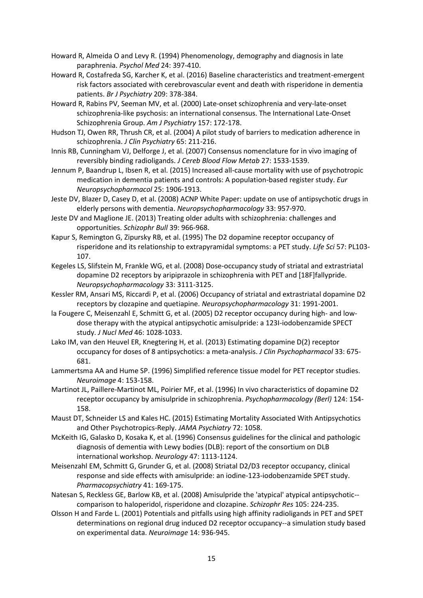- Howard R, Almeida O and Levy R. (1994) Phenomenology, demography and diagnosis in late paraphrenia. *Psychol Med* 24: 397-410.
- Howard R, Costafreda SG, Karcher K, et al. (2016) Baseline characteristics and treatment-emergent risk factors associated with cerebrovascular event and death with risperidone in dementia patients. *Br J Psychiatry* 209: 378-384.
- Howard R, Rabins PV, Seeman MV, et al. (2000) Late-onset schizophrenia and very-late-onset schizophrenia-like psychosis: an international consensus. The International Late-Onset Schizophrenia Group. *Am J Psychiatry* 157: 172-178.
- Hudson TJ, Owen RR, Thrush CR, et al. (2004) A pilot study of barriers to medication adherence in schizophrenia. *J Clin Psychiatry* 65: 211-216.
- Innis RB, Cunningham VJ, Delforge J, et al. (2007) Consensus nomenclature for in vivo imaging of reversibly binding radioligands. *J Cereb Blood Flow Metab* 27: 1533-1539.
- Jennum P, Baandrup L, Ibsen R, et al. (2015) Increased all-cause mortality with use of psychotropic medication in dementia patients and controls: A population-based register study. *Eur Neuropsychopharmacol* 25: 1906-1913.
- Jeste DV, Blazer D, Casey D, et al. (2008) ACNP White Paper: update on use of antipsychotic drugs in elderly persons with dementia. *Neuropsychopharmacology* 33: 957-970.
- Jeste DV and Maglione JE. (2013) Treating older adults with schizophrenia: challenges and opportunities. *Schizophr Bull* 39: 966-968.
- Kapur S, Remington G, Zipursky RB, et al. (1995) The D2 dopamine receptor occupancy of risperidone and its relationship to extrapyramidal symptoms: a PET study. *Life Sci* 57: PL103- 107.
- Kegeles LS, Slifstein M, Frankle WG, et al. (2008) Dose-occupancy study of striatal and extrastriatal dopamine D2 receptors by aripiprazole in schizophrenia with PET and [18F]fallypride. *Neuropsychopharmacology* 33: 3111-3125.
- Kessler RM, Ansari MS, Riccardi P, et al. (2006) Occupancy of striatal and extrastriatal dopamine D2 receptors by clozapine and quetiapine. *Neuropsychopharmacology* 31: 1991-2001.
- la Fougere C, Meisenzahl E, Schmitt G, et al. (2005) D2 receptor occupancy during high- and lowdose therapy with the atypical antipsychotic amisulpride: a 123I-iodobenzamide SPECT study. *J Nucl Med* 46: 1028-1033.
- Lako IM, van den Heuvel ER, Knegtering H, et al. (2013) Estimating dopamine D(2) receptor occupancy for doses of 8 antipsychotics: a meta-analysis. *J Clin Psychopharmacol* 33: 675- 681.
- Lammertsma AA and Hume SP. (1996) Simplified reference tissue model for PET receptor studies. *Neuroimage* 4: 153-158.
- Martinot JL, Paillere-Martinot ML, Poirier MF, et al. (1996) In vivo characteristics of dopamine D2 receptor occupancy by amisulpride in schizophrenia. *Psychopharmacology (Berl)* 124: 154- 158.
- Maust DT, Schneider LS and Kales HC. (2015) Estimating Mortality Associated With Antipsychotics and Other Psychotropics-Reply. *JAMA Psychiatry* 72: 1058.
- McKeith IG, Galasko D, Kosaka K, et al. (1996) Consensus guidelines for the clinical and pathologic diagnosis of dementia with Lewy bodies (DLB): report of the consortium on DLB international workshop. *Neurology* 47: 1113-1124.
- Meisenzahl EM, Schmitt G, Grunder G, et al. (2008) Striatal D2/D3 receptor occupancy, clinical response and side effects with amisulpride: an iodine-123-iodobenzamide SPET study. *Pharmacopsychiatry* 41: 169-175.
- Natesan S, Reckless GE, Barlow KB, et al. (2008) Amisulpride the 'atypical' atypical antipsychotic- comparison to haloperidol, risperidone and clozapine. *Schizophr Res* 105: 224-235.
- Olsson H and Farde L. (2001) Potentials and pitfalls using high affinity radioligands in PET and SPET determinations on regional drug induced D2 receptor occupancy--a simulation study based on experimental data. *Neuroimage* 14: 936-945.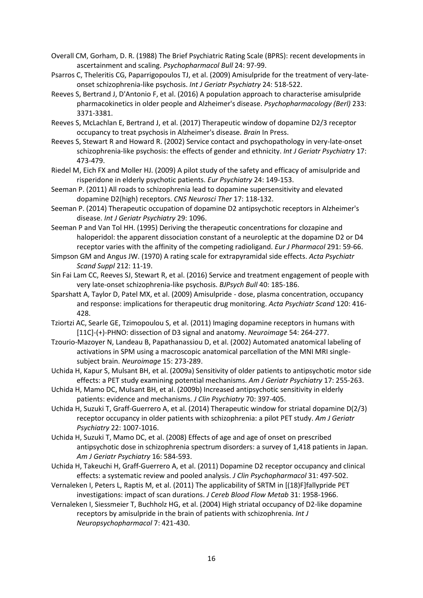- Overall CM, Gorham, D. R. (1988) The Brief Psychiatric Rating Scale (BPRS): recent developments in ascertainment and scaling. *Psychopharmacol Bull* 24: 97-99.
- Psarros C, Theleritis CG, Paparrigopoulos TJ, et al. (2009) Amisulpride for the treatment of very-lateonset schizophrenia-like psychosis. *Int J Geriatr Psychiatry* 24: 518-522.
- Reeves S, Bertrand J, D'Antonio F, et al. (2016) A population approach to characterise amisulpride pharmacokinetics in older people and Alzheimer's disease. *Psychopharmacology (Berl)* 233: 3371-3381.
- Reeves S, McLachlan E, Bertrand J, et al. (2017) Therapeutic window of dopamine D2/3 receptor occupancy to treat psychosis in Alzheimer's disease. *Brain* In Press.
- Reeves S, Stewart R and Howard R. (2002) Service contact and psychopathology in very-late-onset schizophrenia-like psychosis: the effects of gender and ethnicity. *Int J Geriatr Psychiatry* 17: 473-479.
- Riedel M, Eich FX and Moller HJ. (2009) A pilot study of the safety and efficacy of amisulpride and risperidone in elderly psychotic patients. *Eur Psychiatry* 24: 149-153.
- Seeman P. (2011) All roads to schizophrenia lead to dopamine supersensitivity and elevated dopamine D2(high) receptors. *CNS Neurosci Ther* 17: 118-132.
- Seeman P. (2014) Therapeutic occupation of dopamine D2 antipsychotic receptors in Alzheimer's disease. *Int J Geriatr Psychiatry* 29: 1096.
- Seeman P and Van Tol HH. (1995) Deriving the therapeutic concentrations for clozapine and haloperidol: the apparent dissociation constant of a neuroleptic at the dopamine D2 or D4 receptor varies with the affinity of the competing radioligand. *Eur J Pharmacol* 291: 59-66.
- Simpson GM and Angus JW. (1970) A rating scale for extrapyramidal side effects. *Acta Psychiatr Scand Suppl* 212: 11-19.
- Sin Fai Lam CC, Reeves SJ, Stewart R, et al. (2016) Service and treatment engagement of people with very late-onset schizophrenia-like psychosis. *BJPsych Bull* 40: 185-186.
- Sparshatt A, Taylor D, Patel MX, et al. (2009) Amisulpride dose, plasma concentration, occupancy and response: implications for therapeutic drug monitoring. *Acta Psychiatr Scand* 120: 416- 428.
- Tziortzi AC, Searle GE, Tzimopoulou S, et al. (2011) Imaging dopamine receptors in humans with [11C]-(+)-PHNO: dissection of D3 signal and anatomy. *Neuroimage* 54: 264-277.
- Tzourio-Mazoyer N, Landeau B, Papathanassiou D, et al. (2002) Automated anatomical labeling of activations in SPM using a macroscopic anatomical parcellation of the MNI MRI singlesubject brain. *Neuroimage* 15: 273-289.
- Uchida H, Kapur S, Mulsant BH, et al. (2009a) Sensitivity of older patients to antipsychotic motor side effects: a PET study examining potential mechanisms. *Am J Geriatr Psychiatry* 17: 255-263.
- Uchida H, Mamo DC, Mulsant BH, et al. (2009b) Increased antipsychotic sensitivity in elderly patients: evidence and mechanisms. *J Clin Psychiatry* 70: 397-405.
- Uchida H, Suzuki T, Graff-Guerrero A, et al. (2014) Therapeutic window for striatal dopamine D(2/3) receptor occupancy in older patients with schizophrenia: a pilot PET study. *Am J Geriatr Psychiatry* 22: 1007-1016.
- Uchida H, Suzuki T, Mamo DC, et al. (2008) Effects of age and age of onset on prescribed antipsychotic dose in schizophrenia spectrum disorders: a survey of 1,418 patients in Japan. *Am J Geriatr Psychiatry* 16: 584-593.
- Uchida H, Takeuchi H, Graff-Guerrero A, et al. (2011) Dopamine D2 receptor occupancy and clinical effects: a systematic review and pooled analysis. *J Clin Psychopharmacol* 31: 497-502.
- Vernaleken I, Peters L, Raptis M, et al. (2011) The applicability of SRTM in [(18)F]fallypride PET investigations: impact of scan durations. *J Cereb Blood Flow Metab* 31: 1958-1966.
- Vernaleken I, Siessmeier T, Buchholz HG, et al. (2004) High striatal occupancy of D2-like dopamine receptors by amisulpride in the brain of patients with schizophrenia. *Int J Neuropsychopharmacol* 7: 421-430.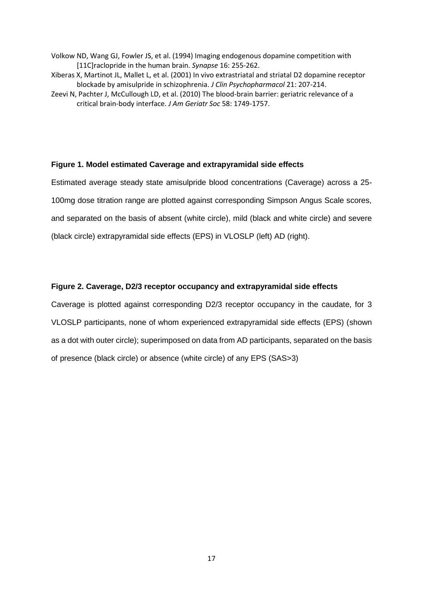- Volkow ND, Wang GJ, Fowler JS, et al. (1994) Imaging endogenous dopamine competition with [11C]raclopride in the human brain. *Synapse* 16: 255-262.
- Xiberas X, Martinot JL, Mallet L, et al. (2001) In vivo extrastriatal and striatal D2 dopamine receptor blockade by amisulpride in schizophrenia. *J Clin Psychopharmacol* 21: 207-214.
- Zeevi N, Pachter J, McCullough LD, et al. (2010) The blood-brain barrier: geriatric relevance of a critical brain-body interface. *J Am Geriatr Soc* 58: 1749-1757.

## **Figure 1. Model estimated Caverage and extrapyramidal side effects**

Estimated average steady state amisulpride blood concentrations (Caverage) across a 25- 100mg dose titration range are plotted against corresponding Simpson Angus Scale scores, and separated on the basis of absent (white circle), mild (black and white circle) and severe (black circle) extrapyramidal side effects (EPS) in VLOSLP (left) AD (right).

### **Figure 2. Caverage, D2/3 receptor occupancy and extrapyramidal side effects**

Caverage is plotted against corresponding D2/3 receptor occupancy in the caudate, for 3 VLOSLP participants, none of whom experienced extrapyramidal side effects (EPS) (shown as a dot with outer circle); superimposed on data from AD participants, separated on the basis of presence (black circle) or absence (white circle) of any EPS (SAS>3)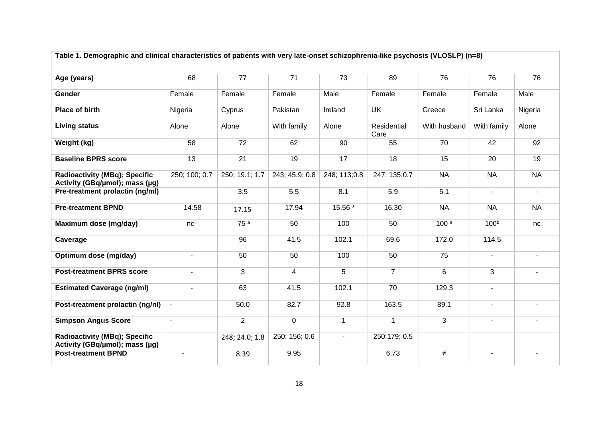| Table 1. Demographic and clinical characteristics of patients with very late-onset schizophrenia-like psychosis (VLOSLP) (n=8) |                |                 |                |              |                     |                  |                  |                          |
|--------------------------------------------------------------------------------------------------------------------------------|----------------|-----------------|----------------|--------------|---------------------|------------------|------------------|--------------------------|
| Age (years)                                                                                                                    | 68             | 77              | 71             | 73           | 89                  | 76               | 76               | 76                       |
| Gender                                                                                                                         | Female         | Female          | Female         | Male         | Female              | Female           | Female           | Male                     |
| Place of birth                                                                                                                 | Nigeria        | Cyprus          | Pakistan       | Ireland      | <b>UK</b>           | Greece           | Sri Lanka        | Nigeria                  |
| <b>Living status</b>                                                                                                           | Alone          | Alone           | With family    | Alone        | Residential<br>Care | With husband     | With family      | Alone                    |
| Weight (kg)                                                                                                                    | 58             | 72              | 62             | 90           | 55                  | 70               | 42               | 92                       |
| <b>Baseline BPRS score</b>                                                                                                     | 13             | 21              | 19             | 17           | 18                  | 15               | 20               | 19                       |
| <b>Radioactivity (MBq); Specific</b><br>Activity (GBq/µmol); mass (µg)                                                         | 250; 100; 0.7  | 250; 19.1; 1.7  | 243; 45.9; 0.8 | 248; 113;0.8 | 247; 135; 0.7       | <b>NA</b>        | <b>NA</b>        | <b>NA</b>                |
| Pre-treatment prolactin (ng/ml)                                                                                                |                | 3.5             | 5.5            | 8.1          | 5.9                 | 5.1              | $\blacksquare$   | $\blacksquare$           |
| <b>Pre-treatment BPND</b>                                                                                                      | 14.58          | 17.15           | 17.94          | 15.56 *      | 16.30               | <b>NA</b>        | <b>NA</b>        | <b>NA</b>                |
| Maximum dose (mg/day)                                                                                                          | nc-            | 75 <sup>a</sup> | 50             | 100          | 50                  | 100 <sup>a</sup> | 100 <sup>b</sup> | nc                       |
| Caverage                                                                                                                       |                | 96              | 41.5           | 102.1        | 69.6                | 172.0            | 114.5            |                          |
| Optimum dose (mg/day)                                                                                                          | $\blacksquare$ | 50              | 50             | 100          | 50                  | 75               | $\blacksquare$   | $\overline{\phantom{a}}$ |
| <b>Post-treatment BPRS score</b>                                                                                               | $\blacksquare$ | 3               | 4              | 5            | $\overline{7}$      | 6                | 3                | $\blacksquare$           |
| <b>Estimated Caverage (ng/ml)</b>                                                                                              | $\blacksquare$ | 63              | 41.5           | 102.1        | 70                  | 129.3            | $\blacksquare$   |                          |
| Post-treatment prolactin (ng/nl)                                                                                               | $\blacksquare$ | 50.0            | 82.7           | 92.8         | 163.5               | 89.1             | $\blacksquare$   | $\blacksquare$           |
| <b>Simpson Angus Score</b>                                                                                                     | $\blacksquare$ | $\overline{2}$  | $\mathbf 0$    | $\mathbf{1}$ | $\mathbf{1}$        | 3                |                  |                          |
| <b>Radioactivity (MBq); Specific</b><br>Activity (GBq/µmol); mass (µg)                                                         |                | 248; 24.0; 1.8  | 250; 156; 0.6  |              | 250;179; 0.5        |                  |                  |                          |
| <b>Post-treatment BPND</b>                                                                                                     |                | 8.39            | 9.95           |              | 6.73                | ≠                |                  |                          |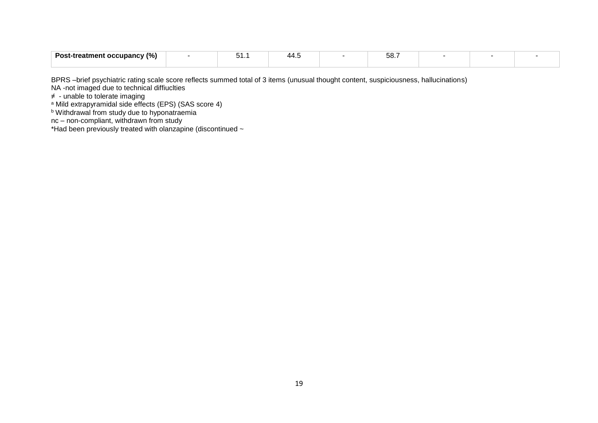| .<br>- 707<br>Post-.<br>$\alpha$ occupancy $\alpha$<br>-treatment<br>. 70 L | <u>.</u> | $\sqrt{2}$<br>— טי | $EQ -$<br>. .<br>$\cup$ |  |  |
|-----------------------------------------------------------------------------|----------|--------------------|-------------------------|--|--|
|                                                                             |          |                    |                         |  |  |

BPRS –brief psychiatric rating scale score reflects summed total of 3 items (unusual thought content, suspiciousness, hallucinations)

NA -not imaged due to technical diffiuclties

≠ - unable to tolerate imaging

<sup>a</sup> Mild extrapyramidal side effects (EPS) (SAS score 4)

**b Withdrawal from study due to hyponatraemia** 

nc – non-compliant, withdrawn from study

\*Had been previously treated with olanzapine (discontinued ~